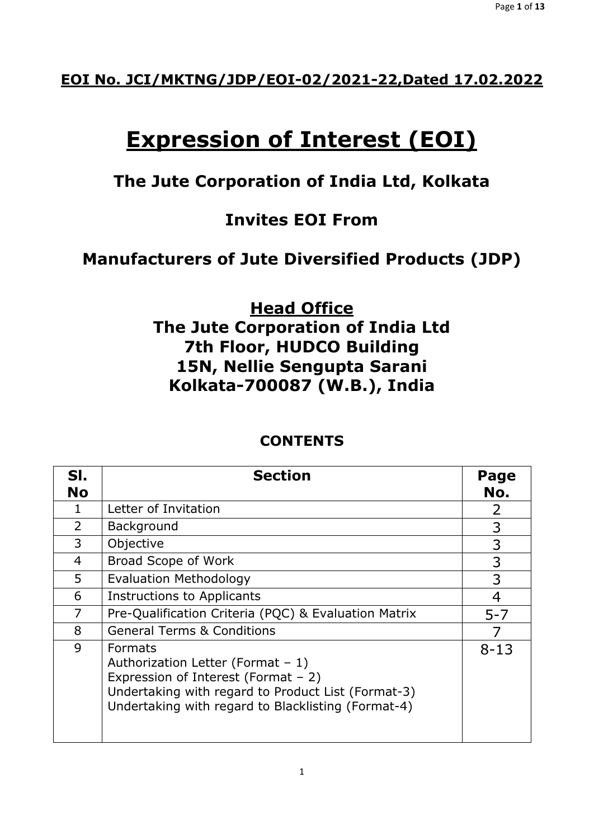## **EOI No. JCI/MKTNG/JDP/EOI-02/2021-22,Dated 17.02.2022**

# **Expression of Interest (EOI)**

## **The Jute Corporation of India Ltd, Kolkata**

## **Invites EOI From**

## **Manufacturers of Jute Diversified Products (JDP)**

**Head Office The Jute Corporation of India Ltd 7th Floor, HUDCO Building 15N, Nellie Sengupta Sarani Kolkata-700087 (W.B.), India**

| SI.<br><b>No</b> | <b>Section</b>                                                                                                                                                                                           | Page<br>No. |
|------------------|----------------------------------------------------------------------------------------------------------------------------------------------------------------------------------------------------------|-------------|
| 1                | Letter of Invitation                                                                                                                                                                                     | 2           |
| 2                | Background                                                                                                                                                                                               | 3           |
| 3                | Objective                                                                                                                                                                                                | 3           |
| 4                | Broad Scope of Work                                                                                                                                                                                      | 3           |
| 5                | <b>Evaluation Methodology</b>                                                                                                                                                                            | 3           |
| 6                | Instructions to Applicants                                                                                                                                                                               | 4           |
| $\overline{7}$   | Pre-Qualification Criteria (PQC) & Evaluation Matrix                                                                                                                                                     | $5 - 7$     |
| 8                | <b>General Terms &amp; Conditions</b>                                                                                                                                                                    |             |
| 9                | <b>Formats</b><br>Authorization Letter (Format $-1$ )<br>Expression of Interest (Format - 2)<br>Undertaking with regard to Product List (Format-3)<br>Undertaking with regard to Blacklisting (Format-4) | $8 - 13$    |

## **CONTENTS**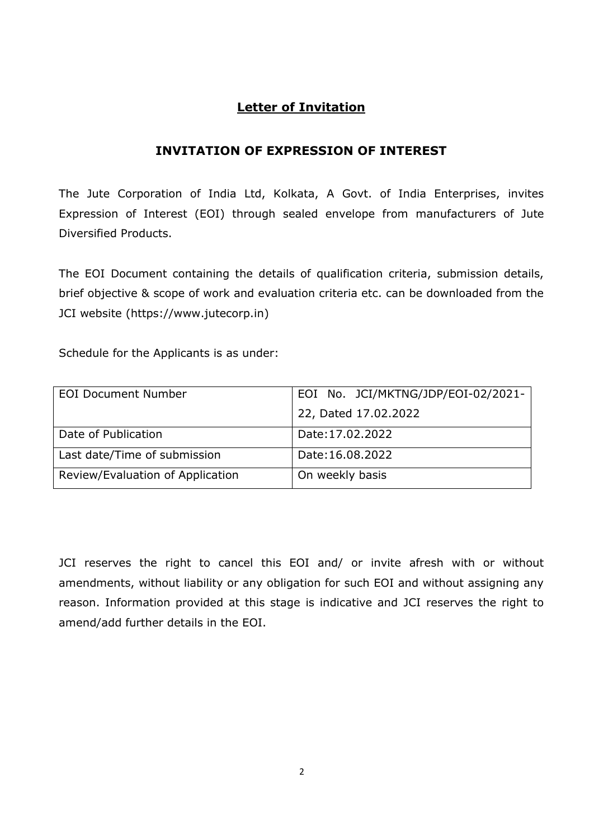## **Letter of Invitation**

### **INVITATION OF EXPRESSION OF INTEREST**

The Jute Corporation of India Ltd, Kolkata, A Govt. of India Enterprises, invites Expression of Interest (EOI) through sealed envelope from manufacturers of Jute Diversified Products.

The EOI Document containing the details of qualification criteria, submission details, brief objective & scope of work and evaluation criteria etc. can be downloaded from the JCI website (https://www.jutecorp.in)

Schedule for the Applicants is as under:

| <b>EOI Document Number</b>       | EOI No. JCI/MKTNG/JDP/EOI-02/2021- |
|----------------------------------|------------------------------------|
|                                  | 22, Dated 17.02.2022               |
| Date of Publication              | Date: 17.02.2022                   |
| Last date/Time of submission     | Date:16.08.2022                    |
| Review/Evaluation of Application | On weekly basis                    |

JCI reserves the right to cancel this EOI and/ or invite afresh with or without amendments, without liability or any obligation for such EOI and without assigning any reason. Information provided at this stage is indicative and JCI reserves the right to amend/add further details in the EOI.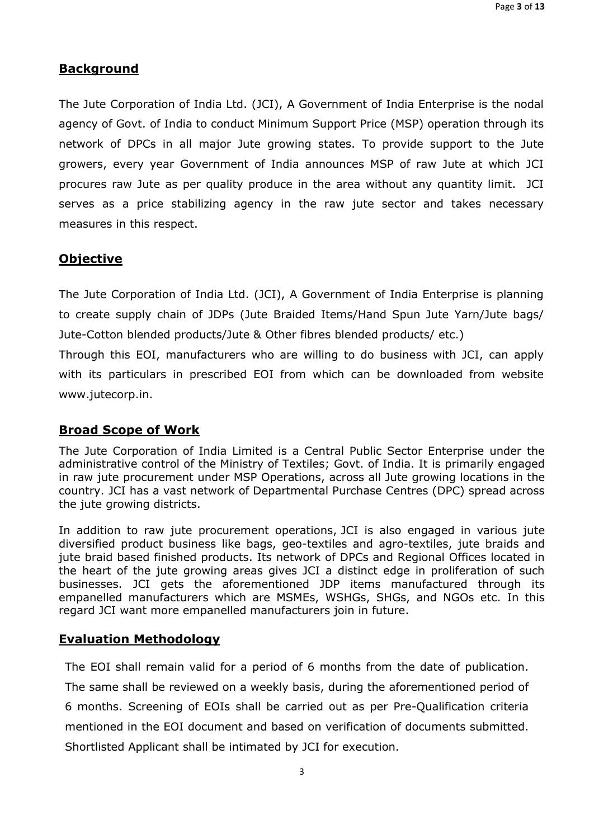#### **Background**

The Jute Corporation of India Ltd. (JCI), A Government of India Enterprise is the nodal agency of Govt. of India to conduct Minimum Support Price (MSP) operation through its network of DPCs in all major Jute growing states. To provide support to the Jute growers, every year Government of India announces MSP of raw Jute at which JCI procures raw Jute as per quality produce in the area without any quantity limit. JCI serves as a price stabilizing agency in the raw jute sector and takes necessary measures in this respect.

#### **Objective**

The Jute Corporation of India Ltd. (JCI), A Government of India Enterprise is planning to create supply chain of JDPs (Jute Braided Items/Hand Spun Jute Yarn/Jute bags/ Jute-Cotton blended products/Jute & Other fibres blended products/ etc.)

Through this EOI, manufacturers who are willing to do business with JCI, can apply with its particulars in prescribed EOI from which can be downloaded from website www.jutecorp.in.

#### **Broad Scope of Work**

The Jute Corporation of India Limited is a Central Public Sector Enterprise under the administrative control of the Ministry of Textiles; Govt. of India. It is primarily engaged in raw jute procurement under MSP Operations, across all Jute growing locations in the country. JCI has a vast network of Departmental Purchase Centres (DPC) spread across the jute growing districts.

In addition to raw jute procurement operations, JCI is also engaged in various jute diversified product business like bags, geo-textiles and agro-textiles, jute braids and jute braid based finished products. Its network of DPCs and Regional Offices located in the heart of the jute growing areas gives JCI a distinct edge in proliferation of such businesses. JCI gets the aforementioned JDP items manufactured through its empanelled manufacturers which are MSMEs, WSHGs, SHGs, and NGOs etc. In this regard JCI want more empanelled manufacturers join in future.

#### **Evaluation Methodology**

The EOI shall remain valid for a period of 6 months from the date of publication. The same shall be reviewed on a weekly basis, during the aforementioned period of 6 months. Screening of EOIs shall be carried out as per Pre-Qualification criteria mentioned in the EOI document and based on verification of documents submitted. Shortlisted Applicant shall be intimated by JCI for execution.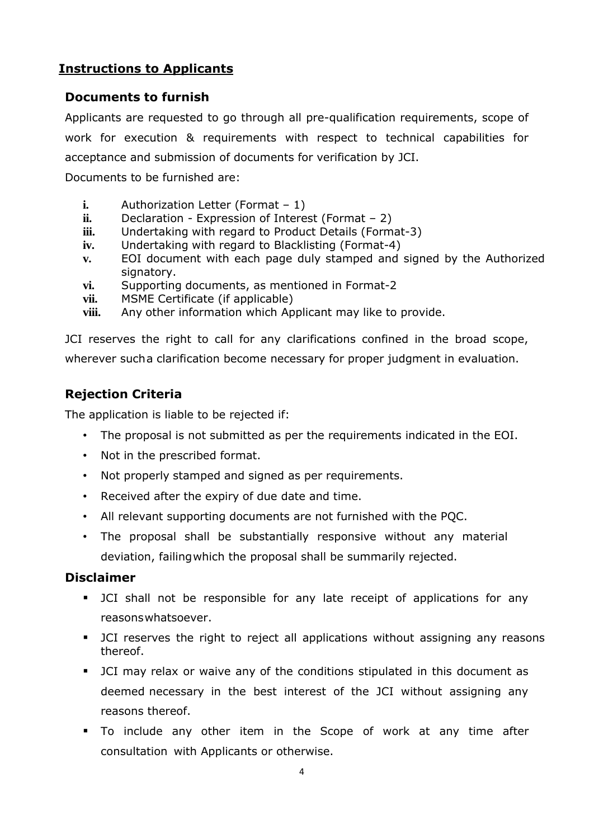## **Instructions to Applicants**

#### **Documents to furnish**

Applicants are requested to go through all pre-qualification requirements, scope of work for execution & requirements with respect to technical capabilities for acceptance and submission of documents for verification by JCI.

Documents to be furnished are:

- **i.** Authorization Letter (Format 1)
- **ii.** Declaration Expression of Interest (Format 2)
- **iii.** Undertaking with regard to Product Details (Format-3)
- **iv.** Undertaking with regard to Blacklisting (Format-4)
- **v.** EOI document with each page duly stamped and signed by the Authorized signatory.
- **vi.** Supporting documents, as mentioned in Format-2
- **vii.** MSME Certificate (if applicable)
- **viii.** Any other information which Applicant may like to provide.

JCI reserves the right to call for any clarifications confined in the broad scope, wherever sucha clarification become necessary for proper judgment in evaluation.

## **Rejection Criteria**

The application is liable to be rejected if:

- The proposal is not submitted as per the requirements indicated in the EOI.
- Not in the prescribed format.
- Not properly stamped and signed as per requirements.
- Received after the expiry of due date and time.
- All relevant supporting documents are not furnished with the PQC.
- The proposal shall be substantially responsive without any material deviation, failingwhich the proposal shall be summarily rejected.

#### **Disclaimer**

- **■** JCI shall not be responsible for any late receipt of applications for any reasonswhatsoever.
- **■** JCI reserves the right to reject all applications without assigning any reasons thereof.
- JCI may relax or waive any of the conditions stipulated in this document as deemed necessary in the best interest of the JCI without assigning any reasons thereof.
- To include any other item in the Scope of work at any time after consultation with Applicants or otherwise.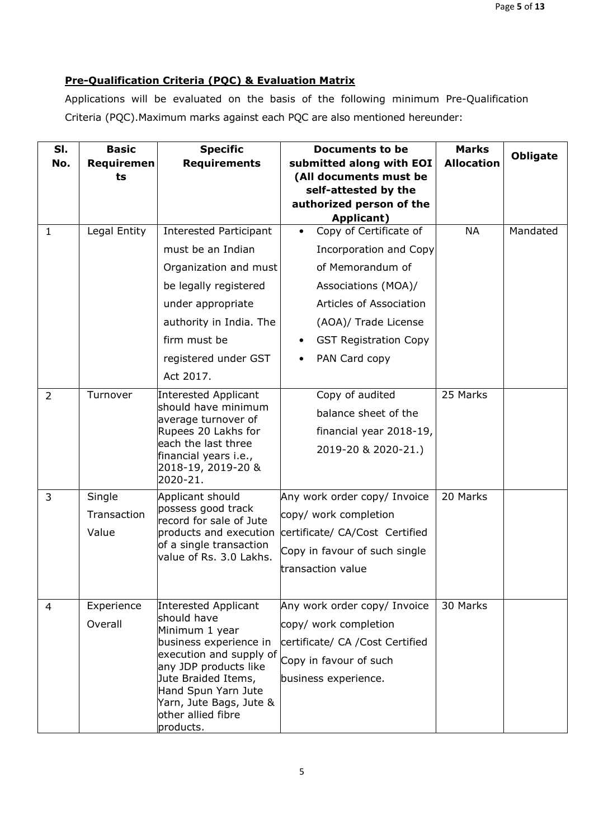#### **Pre-Qualification Criteria (PQC) & Evaluation Matrix**

Applications will be evaluated on the basis of the following minimum Pre-Qualification Criteria (PQC).Maximum marks against each PQC are also mentioned hereunder:

| SI.<br>No.   | <b>Basic</b><br>Requiremen | <b>Specific</b><br><b>Requirements</b>            | <b>Documents to be</b><br>submitted along with EOI | <b>Marks</b><br><b>Allocation</b> | <b>Obligate</b> |
|--------------|----------------------------|---------------------------------------------------|----------------------------------------------------|-----------------------------------|-----------------|
|              | ts                         |                                                   | (All documents must be<br>self-attested by the     |                                   |                 |
|              |                            |                                                   | authorized person of the                           |                                   |                 |
|              |                            |                                                   | <b>Applicant)</b>                                  |                                   |                 |
| $\mathbf{1}$ | Legal Entity               | Interested Participant                            | Copy of Certificate of                             | <b>NA</b>                         | Mandated        |
|              |                            | must be an Indian                                 | Incorporation and Copy                             |                                   |                 |
|              |                            | Organization and must                             | of Memorandum of                                   |                                   |                 |
|              |                            | be legally registered                             | Associations (MOA)/                                |                                   |                 |
|              |                            | under appropriate                                 | Articles of Association                            |                                   |                 |
|              |                            | authority in India. The                           | (AOA)/ Trade License                               |                                   |                 |
|              |                            | firm must be                                      | <b>GST Registration Copy</b>                       |                                   |                 |
|              |                            | registered under GST                              | PAN Card copy<br>$\bullet$                         |                                   |                 |
|              |                            | Act 2017.                                         |                                                    |                                   |                 |
| 2            | Turnover                   | Interested Applicant                              | Copy of audited                                    | 25 Marks                          |                 |
|              |                            | should have minimum<br>average turnover of        | balance sheet of the                               |                                   |                 |
|              |                            | Rupees 20 Lakhs for                               | financial year 2018-19,                            |                                   |                 |
|              |                            | each the last three<br>financial years i.e.,      | 2019-20 & 2020-21.)                                |                                   |                 |
|              |                            | 2018-19, 2019-20 &                                |                                                    |                                   |                 |
|              |                            | 2020-21.                                          |                                                    |                                   |                 |
| 3            | Single                     | Applicant should<br>possess good track            | Any work order copy/ Invoice                       | 20 Marks                          |                 |
|              | Transaction                | record for sale of Jute                           | copy/ work completion                              |                                   |                 |
|              | Value                      | products and execution<br>of a single transaction | certificate/ CA/Cost Certified                     |                                   |                 |
|              |                            | value of Rs. 3.0 Lakhs.                           | Copy in favour of such single                      |                                   |                 |
|              |                            |                                                   | transaction value                                  |                                   |                 |
|              |                            |                                                   |                                                    |                                   |                 |
| 4            | Experience                 | Interested Applicant                              | Any work order copy/ Invoice                       | 30 Marks                          |                 |
|              | Overall                    | should have<br>Minimum 1 year                     | copy/ work completion                              |                                   |                 |
|              |                            | business experience in                            | certificate/ CA / Cost Certified                   |                                   |                 |
|              |                            | execution and supply of<br>any JDP products like  | Copy in favour of such                             |                                   |                 |
|              |                            | Jute Braided Items,                               | business experience.                               |                                   |                 |
|              |                            | Hand Spun Yarn Jute<br>Yarn, Jute Bags, Jute &    |                                                    |                                   |                 |
|              |                            | other allied fibre                                |                                                    |                                   |                 |
|              |                            | products.                                         |                                                    |                                   |                 |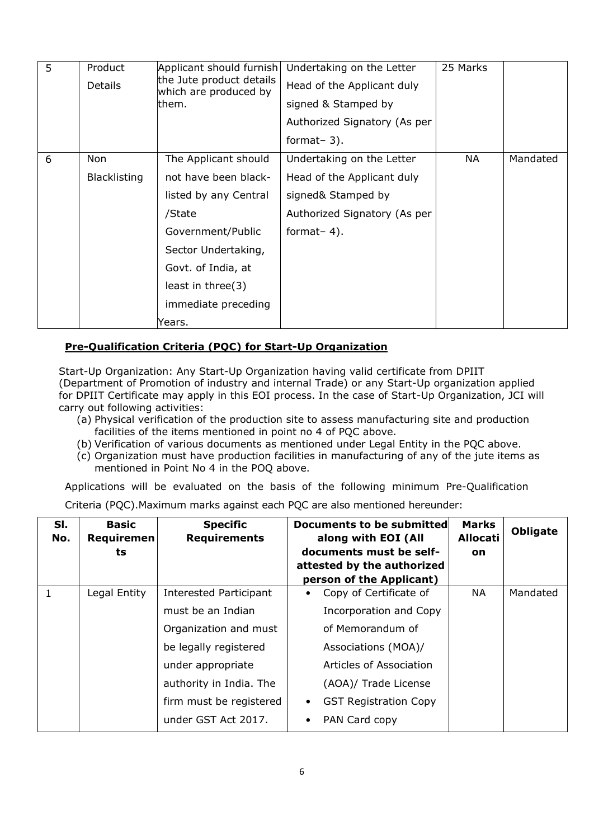| 5 | Product<br><b>Details</b>  | Applicant should furnish<br>the Jute product details<br>which are produced by<br>them.                                                                                                                     | Undertaking on the Letter<br>Head of the Applicant duly<br>signed & Stamped by<br>Authorized Signatory (As per<br>format- $3$ ). | 25 Marks  |          |
|---|----------------------------|------------------------------------------------------------------------------------------------------------------------------------------------------------------------------------------------------------|----------------------------------------------------------------------------------------------------------------------------------|-----------|----------|
| 6 | Non<br><b>Blacklisting</b> | The Applicant should<br>not have been black-<br>listed by any Central<br>/State<br>Government/Public<br>Sector Undertaking,<br>Govt. of India, at<br>least in three $(3)$<br>immediate preceding<br>Years. | Undertaking on the Letter<br>Head of the Applicant duly<br>signed& Stamped by<br>Authorized Signatory (As per<br>format- $4$ ).  | <b>NA</b> | Mandated |

#### **Pre-Qualification Criteria (PQC) for Start-Up Organization**

Start-Up Organization: Any Start-Up Organization having valid certificate from DPIIT (Department of Promotion of industry and internal Trade) or any Start-Up organization applied for DPIIT Certificate may apply in this EOI process. In the case of Start-Up Organization, JCI will carry out following activities:

- (a) Physical verification of the production site to assess manufacturing site and production facilities of the items mentioned in point no 4 of PQC above.
- (b) Verification of various documents as mentioned under Legal Entity in the PQC above.
- (c) Organization must have production facilities in manufacturing of any of the jute items as mentioned in Point No 4 in the POQ above.

Applications will be evaluated on the basis of the following minimum Pre-Qualification

|  | Criteria (PQC). Maximum marks against each PQC are also mentioned hereunder: |  |  |
|--|------------------------------------------------------------------------------|--|--|
|--|------------------------------------------------------------------------------|--|--|

| SI.<br>No.   | <b>Basic</b><br>Requiremen<br>ts | <b>Specific</b><br><b>Requirements</b>                                                                                                                                          | <b>Documents to be submitted</b><br><b>Marks</b><br><b>Allocati</b><br>along with EOI (All<br>documents must be self-<br>on<br>attested by the authorized<br>person of the Applicant)             | <b>Obligate</b> |
|--------------|----------------------------------|---------------------------------------------------------------------------------------------------------------------------------------------------------------------------------|---------------------------------------------------------------------------------------------------------------------------------------------------------------------------------------------------|-----------------|
| $\mathbf{1}$ | Legal Entity                     | <b>Interested Participant</b><br>must be an Indian<br>Organization and must<br>be legally registered<br>under appropriate<br>authority in India. The<br>firm must be registered | Copy of Certificate of<br>NА<br>Incorporation and Copy<br>of Memorandum of<br>Associations (MOA)/<br>Articles of Association<br>(AOA)/ Trade License<br><b>GST Registration Copy</b><br>$\bullet$ | Mandated        |
|              |                                  | under GST Act 2017.                                                                                                                                                             | PAN Card copy<br>$\bullet$                                                                                                                                                                        |                 |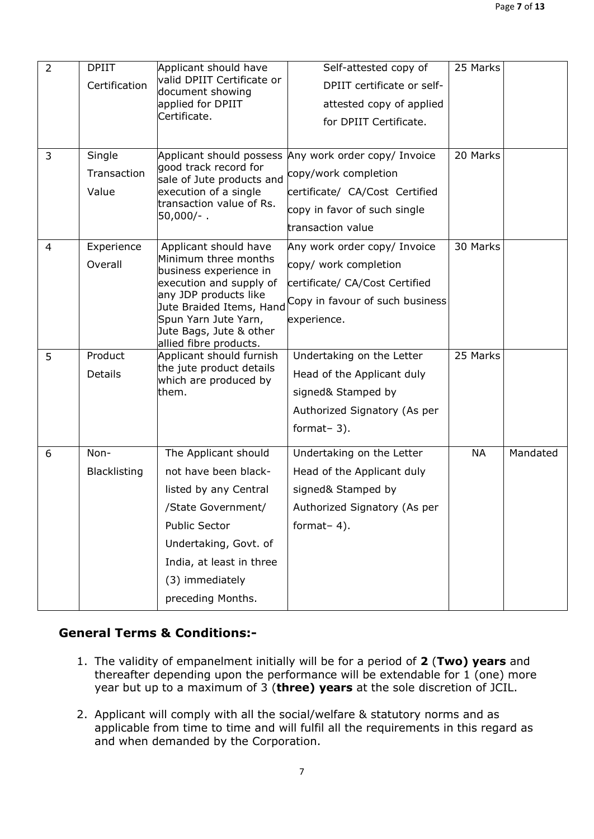| 2 | <b>DPIIT</b>        | Applicant should have<br>valid DPIIT Certificate or | Self-attested copy of           | 25 Marks  |          |
|---|---------------------|-----------------------------------------------------|---------------------------------|-----------|----------|
|   | Certification       | document showing                                    | DPIIT certificate or self-      |           |          |
|   |                     | applied for DPIIT<br>Certificate.                   | attested copy of applied        |           |          |
|   |                     |                                                     | for DPIIT Certificate.          |           |          |
|   |                     |                                                     |                                 |           |          |
| 3 | Single              | Applicant should possess<br>good track record for   | Any work order copy/ Invoice    | 20 Marks  |          |
|   | Transaction         | sale of Jute products and                           | copy/work completion            |           |          |
|   | Value               | execution of a single<br>transaction value of Rs.   | certificate/ CA/Cost Certified  |           |          |
|   |                     | $50,000/-$ .                                        | copy in favor of such single    |           |          |
|   |                     |                                                     | transaction value               |           |          |
| 4 | Experience          | Applicant should have                               | Any work order copy/ Invoice    | 30 Marks  |          |
|   | Overall             | Minimum three months<br>business experience in      | copy/ work completion           |           |          |
|   |                     | execution and supply of                             | certificate/ CA/Cost Certified  |           |          |
|   |                     | any JDP products like<br>Jute Braided Items, Hand   | Copy in favour of such business |           |          |
|   |                     | Spun Yarn Jute Yarn,                                | experience.                     |           |          |
|   |                     | Jute Bags, Jute & other<br>allied fibre products.   |                                 |           |          |
| 5 | Product             | Applicant should furnish                            | Undertaking on the Letter       | 25 Marks  |          |
|   | Details             | the jute product details                            | Head of the Applicant duly      |           |          |
|   |                     | which are produced by<br>them.                      | signed& Stamped by              |           |          |
|   |                     |                                                     | Authorized Signatory (As per    |           |          |
|   |                     |                                                     | format- $3$ ).                  |           |          |
|   |                     |                                                     |                                 |           |          |
| 6 | Non-                | The Applicant should                                | Undertaking on the Letter       | <b>NA</b> | Mandated |
|   | <b>Blacklisting</b> | not have been black-                                | Head of the Applicant duly      |           |          |
|   |                     | listed by any Central                               | signed& Stamped by              |           |          |
|   |                     | /State Government/                                  | Authorized Signatory (As per    |           |          |
|   |                     | <b>Public Sector</b>                                | format- $4$ ).                  |           |          |
|   |                     | Undertaking, Govt. of                               |                                 |           |          |
|   |                     | India, at least in three                            |                                 |           |          |
|   |                     | (3) immediately                                     |                                 |           |          |
|   |                     | preceding Months.                                   |                                 |           |          |
|   |                     |                                                     |                                 |           |          |

## **General Terms & Conditions:-**

- 1. The validity of empanelment initially will be for a period of **2** (**Two) years** and thereafter depending upon the performance will be extendable for 1 (one) more year but up to a maximum of 3 (**three) years** at the sole discretion of JCIL.
- 2. Applicant will comply with all the social/welfare & statutory norms and as applicable from time to time and will fulfil all the requirements in this regard as and when demanded by the Corporation.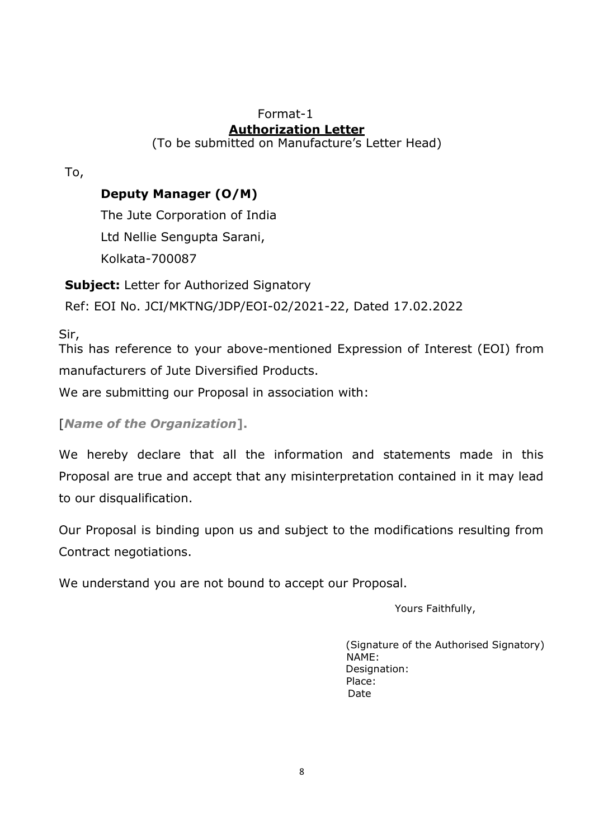## Format-1 **Authorization Letter**

(To be submitted on Manufacture's Letter Head)

To,

## **Deputy Manager (O/M)**

The Jute Corporation of India Ltd Nellie Sengupta Sarani, Kolkata-700087

**Subject:** Letter for Authorized Signatory Ref: EOI No. JCI/MKTNG/JDP/EOI-02/2021-22, Dated 17.02.2022

Sir,

This has reference to your above-mentioned Expression of Interest (EOI) from manufacturers of Jute Diversified Products.

We are submitting our Proposal in association with:

## [*Name of the Organization***].**

We hereby declare that all the information and statements made in this Proposal are true and accept that any misinterpretation contained in it may lead to our disqualification.

Our Proposal is binding upon us and subject to the modifications resulting from Contract negotiations.

We understand you are not bound to accept our Proposal.

Yours Faithfully,

(Signature of the Authorised Signatory) NAME: Designation: Place: Date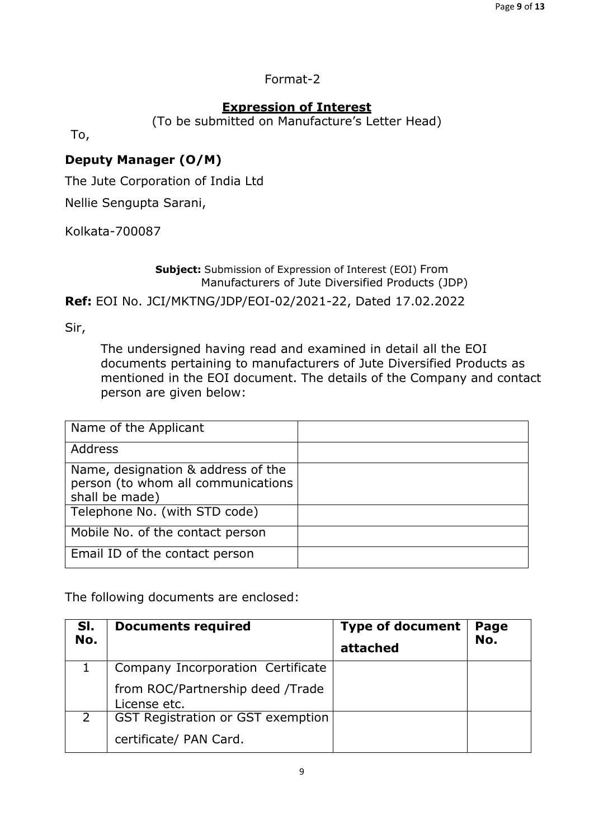### Format-2

## **Expression of Interest**

(To be submitted on Manufacture's Letter Head)

To,

## **Deputy Manager (O/M)**

The Jute Corporation of India Ltd

Nellie Sengupta Sarani,

Kolkata-700087

**Subject:** Submission of Expression of Interest (EOI) From Manufacturers of Jute Diversified Products (JDP) **Ref:** EOI No. JCI/MKTNG/JDP/EOI-02/2021-22, Dated 17.02.2022

Sir,

The undersigned having read and examined in detail all the EOI documents pertaining to manufacturers of Jute Diversified Products as mentioned in the EOI document. The details of the Company and contact person are given below:

| Name of the Applicant                                                                      |  |
|--------------------------------------------------------------------------------------------|--|
| Address                                                                                    |  |
| Name, designation & address of the<br>person (to whom all communications<br>shall be made) |  |
| Telephone No. (with STD code)                                                              |  |
| Mobile No. of the contact person                                                           |  |
| Email ID of the contact person                                                             |  |

The following documents are enclosed:

| SI.<br>No. | <b>Documents required</b>                        | <b>Type of document</b><br>attached | Page<br>No. |
|------------|--------------------------------------------------|-------------------------------------|-------------|
|            | Company Incorporation Certificate                |                                     |             |
|            | from ROC/Partnership deed /Trade<br>License etc. |                                     |             |
|            | GST Registration or GST exemption                |                                     |             |
|            | certificate/ PAN Card.                           |                                     |             |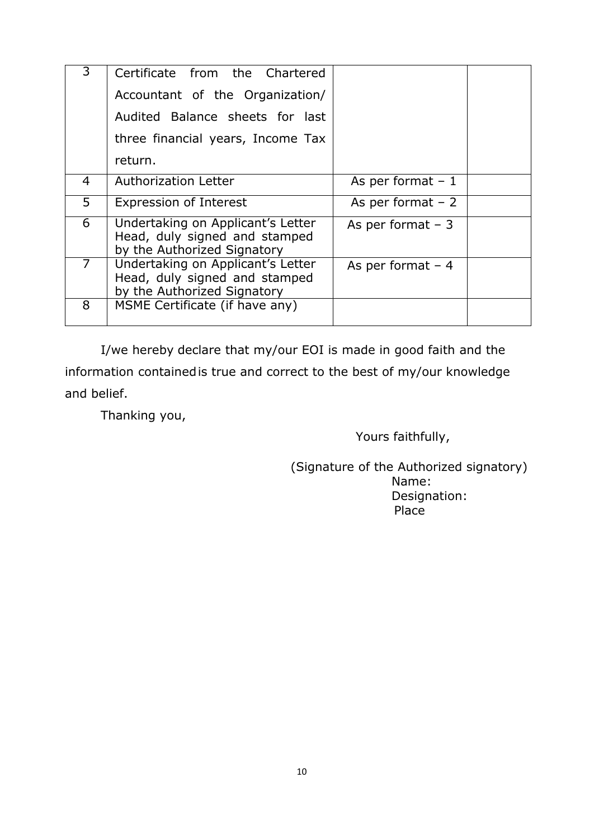| 3              | Certificate from the Chartered                                                                    |                    |
|----------------|---------------------------------------------------------------------------------------------------|--------------------|
|                | Accountant of the Organization/                                                                   |                    |
|                | Audited Balance sheets for last                                                                   |                    |
|                | three financial years, Income Tax                                                                 |                    |
|                | return.                                                                                           |                    |
| $\overline{4}$ | <b>Authorization Letter</b>                                                                       | As per format $-1$ |
| 5              | Expression of Interest                                                                            | As per format $-2$ |
| 6              | Undertaking on Applicant's Letter<br>Head, duly signed and stamped<br>by the Authorized Signatory | As per format $-3$ |
| $\overline{7}$ | Undertaking on Applicant's Letter<br>Head, duly signed and stamped<br>by the Authorized Signatory | As per format $-4$ |
| 8              | MSME Certificate (if have any)                                                                    |                    |

I/we hereby declare that my/our EOI is made in good faith and the information containedis true and correct to the best of my/our knowledge and belief.

Thanking you,

Yours faithfully,

 (Signature of the Authorized signatory) Name: Designation: Place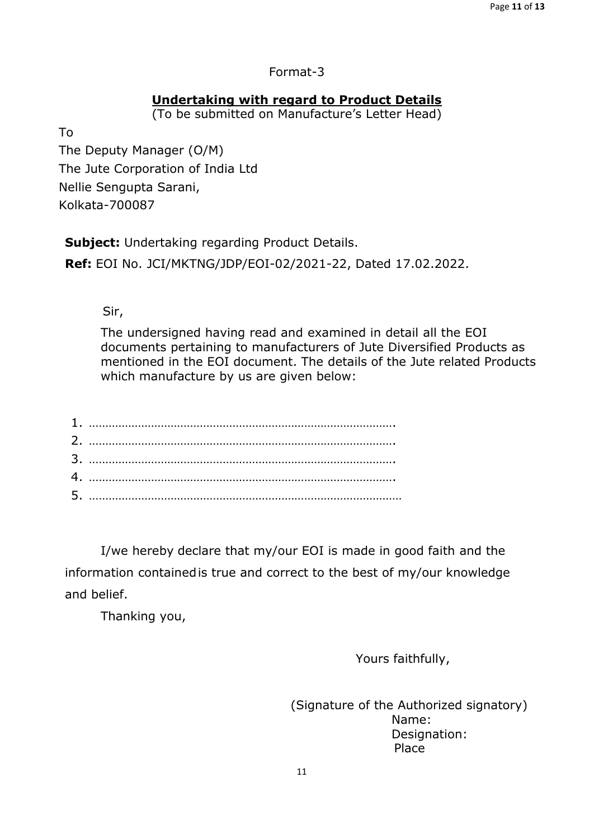#### Format-3

#### **Undertaking with regard to Product Details**

(To be submitted on Manufacture's Letter Head)

To

The Deputy Manager (O/M) The Jute Corporation of India Ltd Nellie Sengupta Sarani, Kolkata-700087

**Subject:** Undertaking regarding Product Details. **Ref:** EOI No. JCI/MKTNG/JDP/EOI-02/2021-22, Dated 17.02.2022.

Sir,

The undersigned having read and examined in detail all the EOI documents pertaining to manufacturers of Jute Diversified Products as mentioned in the EOI document. The details of the Jute related Products which manufacture by us are given below:

I/we hereby declare that my/our EOI is made in good faith and the information containedis true and correct to the best of my/our knowledge and belief.

Thanking you,

Yours faithfully,

 (Signature of the Authorized signatory) Name: Designation: Place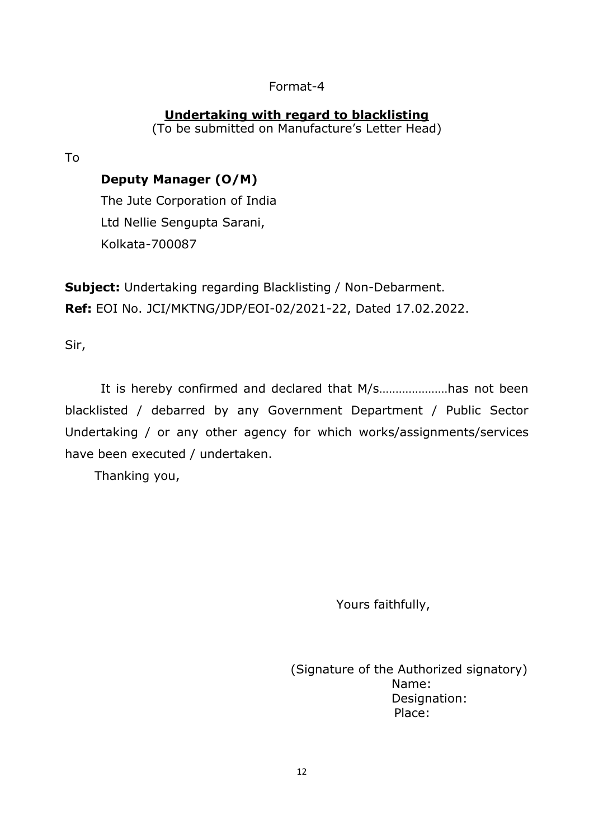### Format-4

## **Undertaking with regard to blacklisting**

(To be submitted on Manufacture's Letter Head)

To

## **Deputy Manager (O/M)**

The Jute Corporation of India Ltd Nellie Sengupta Sarani, Kolkata-700087

**Subject:** Undertaking regarding Blacklisting / Non-Debarment. **Ref:** EOI No. JCI/MKTNG/JDP/EOI-02/2021-22, Dated 17.02.2022.

Sir,

It is hereby confirmed and declared that M/s…………………has not been blacklisted / debarred by any Government Department / Public Sector Undertaking / or any other agency for which works/assignments/services have been executed / undertaken.

Thanking you,

Yours faithfully,

 (Signature of the Authorized signatory) Name: Designation: Place: